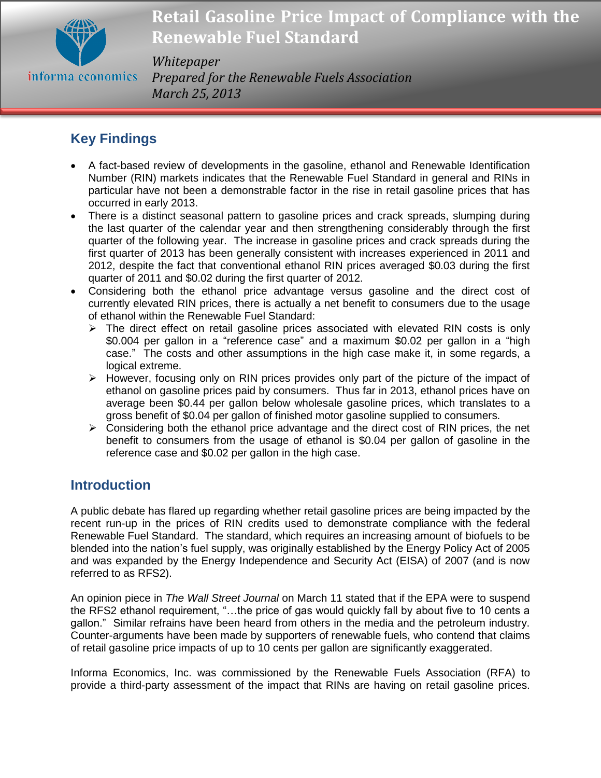

#### *Whitepaper*

*Prepared for the Renewable Fuels Association March 25, 2013*

# **Key Findings**

- A fact-based review of developments in the gasoline, ethanol and Renewable Identification Number (RIN) markets indicates that the Renewable Fuel Standard in general and RINs in particular have not been a demonstrable factor in the rise in retail gasoline prices that has occurred in early 2013.
- There is a distinct seasonal pattern to gasoline prices and crack spreads, slumping during the last quarter of the calendar year and then strengthening considerably through the first quarter of the following year. The increase in gasoline prices and crack spreads during the first quarter of 2013 has been generally consistent with increases experienced in 2011 and 2012, despite the fact that conventional ethanol RIN prices averaged \$0.03 during the first quarter of 2011 and \$0.02 during the first quarter of 2012.
- Considering both the ethanol price advantage versus gasoline and the direct cost of currently elevated RIN prices, there is actually a net benefit to consumers due to the usage of ethanol within the Renewable Fuel Standard:
	- $\triangleright$  The direct effect on retail gasoline prices associated with elevated RIN costs is only \$0.004 per gallon in a "reference case" and a maximum \$0.02 per gallon in a "high case." The costs and other assumptions in the high case make it, in some regards, a logical extreme.
	- $\triangleright$  However, focusing only on RIN prices provides only part of the picture of the impact of ethanol on gasoline prices paid by consumers. Thus far in 2013, ethanol prices have on average been \$0.44 per gallon below wholesale gasoline prices, which translates to a gross benefit of \$0.04 per gallon of finished motor gasoline supplied to consumers.
	- $\triangleright$  Considering both the ethanol price advantage and the direct cost of RIN prices, the net benefit to consumers from the usage of ethanol is \$0.04 per gallon of gasoline in the reference case and \$0.02 per gallon in the high case.

# **Introduction**

A public debate has flared up regarding whether retail gasoline prices are being impacted by the recent run-up in the prices of RIN credits used to demonstrate compliance with the federal Renewable Fuel Standard. The standard, which requires an increasing amount of biofuels to be blended into the nation's fuel supply, was originally established by the Energy Policy Act of 2005 and was expanded by the Energy Independence and Security Act (EISA) of 2007 (and is now referred to as RFS2).

An opinion piece in *The Wall Street Journal* on March 11 stated that if the EPA were to suspend the RFS2 ethanol requirement, "…the price of gas would quickly fall by about five to 10 cents a gallon." Similar refrains have been heard from others in the media and the petroleum industry. Counter-arguments have been made by supporters of renewable fuels, who contend that claims of retail gasoline price impacts of up to 10 cents per gallon are significantly exaggerated.

Informa Economics, Inc. was commissioned by the Renewable Fuels Association (RFA) to provide a third-party assessment of the impact that RINs are having on retail gasoline prices.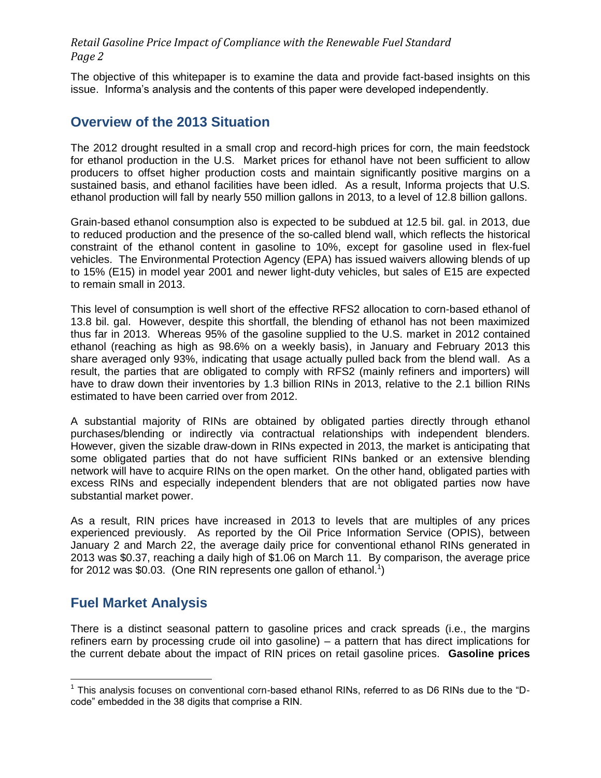The objective of this whitepaper is to examine the data and provide fact-based insights on this issue. Informa's analysis and the contents of this paper were developed independently.

### **Overview of the 2013 Situation**

The 2012 drought resulted in a small crop and record-high prices for corn, the main feedstock for ethanol production in the U.S. Market prices for ethanol have not been sufficient to allow producers to offset higher production costs and maintain significantly positive margins on a sustained basis, and ethanol facilities have been idled. As a result, Informa projects that U.S. ethanol production will fall by nearly 550 million gallons in 2013, to a level of 12.8 billion gallons.

Grain-based ethanol consumption also is expected to be subdued at 12.5 bil. gal. in 2013, due to reduced production and the presence of the so-called blend wall, which reflects the historical constraint of the ethanol content in gasoline to 10%, except for gasoline used in flex-fuel vehicles. The Environmental Protection Agency (EPA) has issued waivers allowing blends of up to 15% (E15) in model year 2001 and newer light-duty vehicles, but sales of E15 are expected to remain small in 2013.

This level of consumption is well short of the effective RFS2 allocation to corn-based ethanol of 13.8 bil. gal. However, despite this shortfall, the blending of ethanol has not been maximized thus far in 2013. Whereas 95% of the gasoline supplied to the U.S. market in 2012 contained ethanol (reaching as high as 98.6% on a weekly basis), in January and February 2013 this share averaged only 93%, indicating that usage actually pulled back from the blend wall. As a result, the parties that are obligated to comply with RFS2 (mainly refiners and importers) will have to draw down their inventories by 1.3 billion RINs in 2013, relative to the 2.1 billion RINs estimated to have been carried over from 2012.

A substantial majority of RINs are obtained by obligated parties directly through ethanol purchases/blending or indirectly via contractual relationships with independent blenders. However, given the sizable draw-down in RINs expected in 2013, the market is anticipating that some obligated parties that do not have sufficient RINs banked or an extensive blending network will have to acquire RINs on the open market. On the other hand, obligated parties with excess RINs and especially independent blenders that are not obligated parties now have substantial market power.

As a result, RIN prices have increased in 2013 to levels that are multiples of any prices experienced previously. As reported by the Oil Price Information Service (OPIS), between January 2 and March 22, the average daily price for conventional ethanol RINs generated in 2013 was \$0.37, reaching a daily high of \$1.06 on March 11. By comparison, the average price for 2012 was \$0.03. (One RIN represents one gallon of ethanol.<sup>1</sup>)

## **Fuel Market Analysis**

There is a distinct seasonal pattern to gasoline prices and crack spreads (i.e., the margins refiners earn by processing crude oil into gasoline) – a pattern that has direct implications for the current debate about the impact of RIN prices on retail gasoline prices. **Gasoline prices** 

 1 This analysis focuses on conventional corn-based ethanol RINs, referred to as D6 RINs due to the "Dcode" embedded in the 38 digits that comprise a RIN.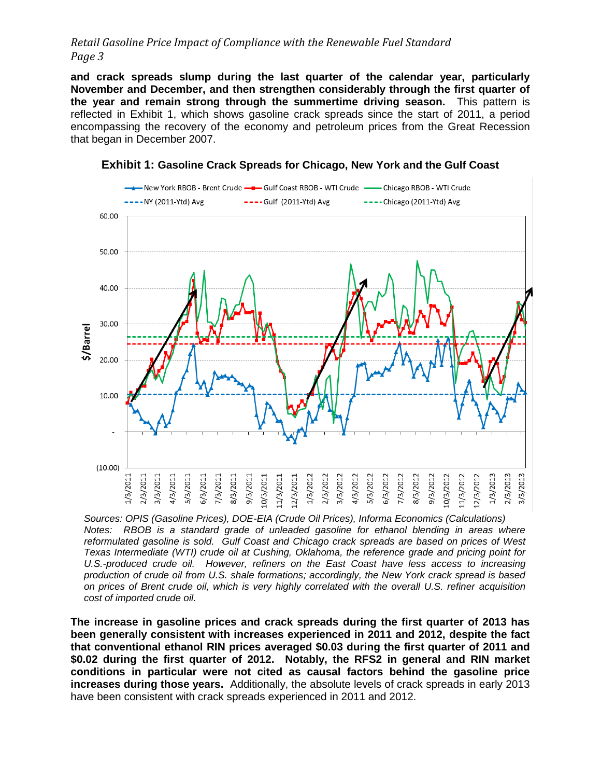**and crack spreads slump during the last quarter of the calendar year, particularly November and December, and then strengthen considerably through the first quarter of the year and remain strong through the summertime driving season.** This pattern is reflected in [Exhibit 1,](#page-2-0) which shows gasoline crack spreads since the start of 2011, a period encompassing the recovery of the economy and petroleum prices from the Great Recession that began in December 2007.

<span id="page-2-0"></span>

#### **Exhibit 1: Gasoline Crack Spreads for Chicago, New York and the Gulf Coast**

*Sources: OPIS (Gasoline Prices), DOE-EIA (Crude Oil Prices), Informa Economics (Calculations) Notes: RBOB is a standard grade of unleaded gasoline for ethanol blending in areas where reformulated gasoline is sold. Gulf Coast and Chicago crack spreads are based on prices of West Texas Intermediate (WTI) crude oil at Cushing, Oklahoma, the reference grade and pricing point for U.S.-produced crude oil. However, refiners on the East Coast have less access to increasing production of crude oil from U.S. shale formations; accordingly, the New York crack spread is based on prices of Brent crude oil, which is very highly correlated with the overall U.S. refiner acquisition cost of imported crude oil.*

**The increase in gasoline prices and crack spreads during the first quarter of 2013 has been generally consistent with increases experienced in 2011 and 2012, despite the fact that conventional ethanol RIN prices averaged \$0.03 during the first quarter of 2011 and \$0.02 during the first quarter of 2012. Notably, the RFS2 in general and RIN market conditions in particular were not cited as causal factors behind the gasoline price increases during those years.** Additionally, the absolute levels of crack spreads in early 2013 have been consistent with crack spreads experienced in 2011 and 2012.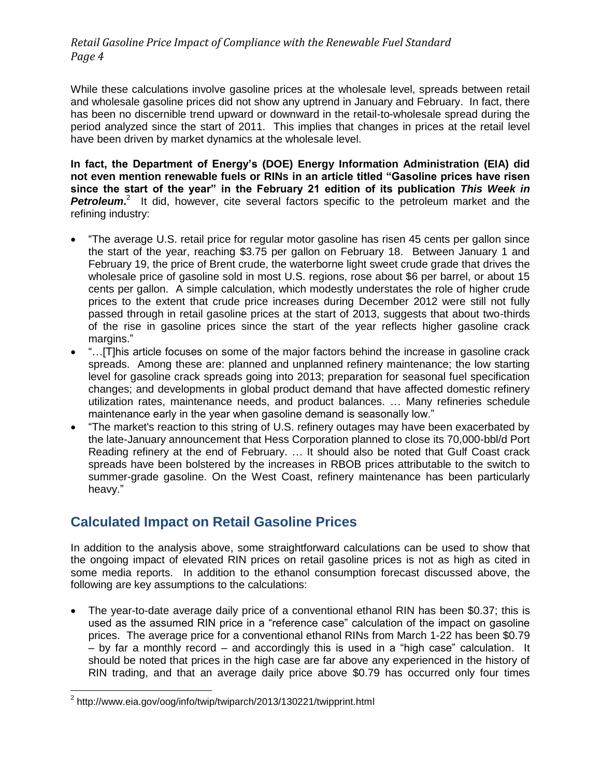While these calculations involve gasoline prices at the wholesale level, spreads between retail and wholesale gasoline prices did not show any uptrend in January and February. In fact, there has been no discernible trend upward or downward in the retail-to-wholesale spread during the period analyzed since the start of 2011. This implies that changes in prices at the retail level have been driven by market dynamics at the wholesale level.

**In fact, the Department of Energy's (DOE) Energy Information Administration (EIA) did not even mention renewable fuels or RINs in an article titled "Gasoline prices have risen since the start of the year" in the February 21 edition of its publication** *This Week in*  Petroleum.<sup>2</sup> It did, however, cite several factors specific to the petroleum market and the refining industry:

- "The average U.S. retail price for regular motor gasoline has risen 45 cents per gallon since the start of the year, reaching \$3.75 per gallon on February 18. Between January 1 and February 19, the price of Brent crude, the waterborne light sweet crude grade that drives the wholesale price of gasoline sold in most U.S. regions, rose about \$6 per barrel, or about 15 cents per gallon. A simple calculation, which modestly understates the role of higher crude prices to the extent that crude price increases during December 2012 were still not fully passed through in retail gasoline prices at the start of 2013, suggests that about two-thirds of the rise in gasoline prices since the start of the year reflects higher gasoline crack margins."
- "... [T]his article focuses on some of the major factors behind the increase in gasoline crack spreads. Among these are: planned and unplanned refinery maintenance; the low starting level for gasoline crack spreads going into 2013; preparation for seasonal fuel specification changes; and developments in global product demand that have affected domestic refinery utilization rates, maintenance needs, and product balances. … Many refineries schedule maintenance early in the year when gasoline demand is seasonally low."
- "The market's reaction to this string of U.S. refinery outages may have been exacerbated by the late-January announcement that Hess Corporation planned to close its 70,000-bbl/d Port Reading refinery at the end of February. … It should also be noted that Gulf Coast crack spreads have been bolstered by the increases in RBOB prices attributable to the switch to summer-grade gasoline. On the West Coast, refinery maintenance has been particularly heavy."

# **Calculated Impact on Retail Gasoline Prices**

In addition to the analysis above, some straightforward calculations can be used to show that the ongoing impact of elevated RIN prices on retail gasoline prices is not as high as cited in some media reports. In addition to the ethanol consumption forecast discussed above, the following are key assumptions to the calculations:

 The year-to-date average daily price of a conventional ethanol RIN has been \$0.37; this is used as the assumed RIN price in a "reference case" calculation of the impact on gasoline prices. The average price for a conventional ethanol RINs from March 1-22 has been \$0.79 – by far a monthly record – and accordingly this is used in a "high case" calculation. It should be noted that prices in the high case are far above any experienced in the history of RIN trading, and that an average daily price above \$0.79 has occurred only four times

 2 http://www.eia.gov/oog/info/twip/twiparch/2013/130221/twipprint.html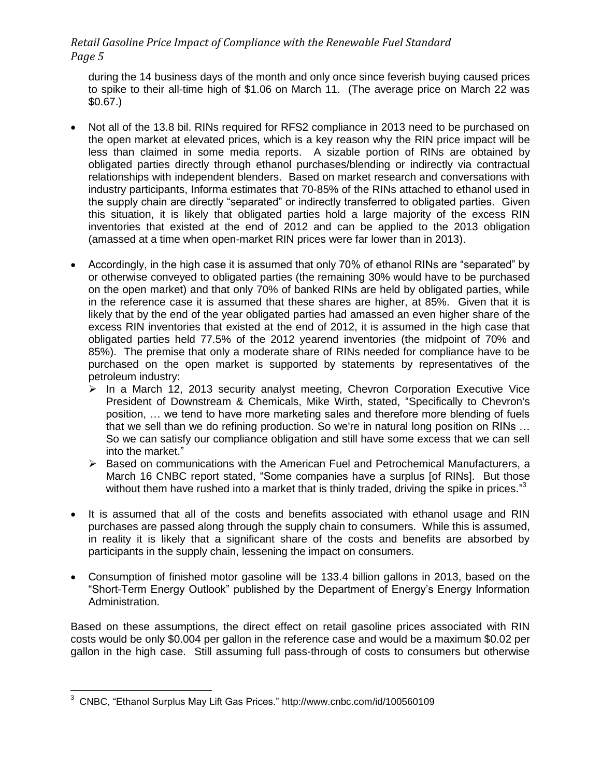during the 14 business days of the month and only once since feverish buying caused prices to spike to their all-time high of \$1.06 on March 11. (The average price on March 22 was \$0.67.)

- Not all of the 13.8 bil. RINs required for RFS2 compliance in 2013 need to be purchased on the open market at elevated prices, which is a key reason why the RIN price impact will be less than claimed in some media reports. A sizable portion of RINs are obtained by obligated parties directly through ethanol purchases/blending or indirectly via contractual relationships with independent blenders. Based on market research and conversations with industry participants, Informa estimates that 70-85% of the RINs attached to ethanol used in the supply chain are directly "separated" or indirectly transferred to obligated parties. Given this situation, it is likely that obligated parties hold a large majority of the excess RIN inventories that existed at the end of 2012 and can be applied to the 2013 obligation (amassed at a time when open-market RIN prices were far lower than in 2013).
- Accordingly, in the high case it is assumed that only 70% of ethanol RINs are "separated" by or otherwise conveyed to obligated parties (the remaining 30% would have to be purchased on the open market) and that only 70% of banked RINs are held by obligated parties, while in the reference case it is assumed that these shares are higher, at 85%. Given that it is likely that by the end of the year obligated parties had amassed an even higher share of the excess RIN inventories that existed at the end of 2012, it is assumed in the high case that obligated parties held 77.5% of the 2012 yearend inventories (the midpoint of 70% and 85%). The premise that only a moderate share of RINs needed for compliance have to be purchased on the open market is supported by statements by representatives of the petroleum industry:
	- $\geq$  In a March 12, 2013 security analyst meeting, Chevron Corporation Executive Vice President of Downstream & Chemicals, Mike Wirth, stated, "Specifically to Chevron's position, … we tend to have more marketing sales and therefore more blending of fuels that we sell than we do refining production. So we're in natural long position on RINs … So we can satisfy our compliance obligation and still have some excess that we can sell into the market."
	- $\triangleright$  Based on communications with the American Fuel and Petrochemical Manufacturers, a March 16 CNBC report stated, "Some companies have a surplus [of RINs]. But those without them have rushed into a market that is thinly traded, driving the spike in prices."<sup>3</sup>
- It is assumed that all of the costs and benefits associated with ethanol usage and RIN purchases are passed along through the supply chain to consumers. While this is assumed, in reality it is likely that a significant share of the costs and benefits are absorbed by participants in the supply chain, lessening the impact on consumers.
- Consumption of finished motor gasoline will be 133.4 billion gallons in 2013, based on the "Short-Term Energy Outlook" published by the Department of Energy's Energy Information Administration.

Based on these assumptions, the direct effect on retail gasoline prices associated with RIN costs would be only \$0.004 per gallon in the reference case and would be a maximum \$0.02 per gallon in the high case. Still assuming full pass-through of costs to consumers but otherwise

 $\overline{a}$ 

<sup>&</sup>lt;sup>3</sup> CNBC, "Ethanol Surplus May Lift Gas Prices." http://www.cnbc.com/id/100560109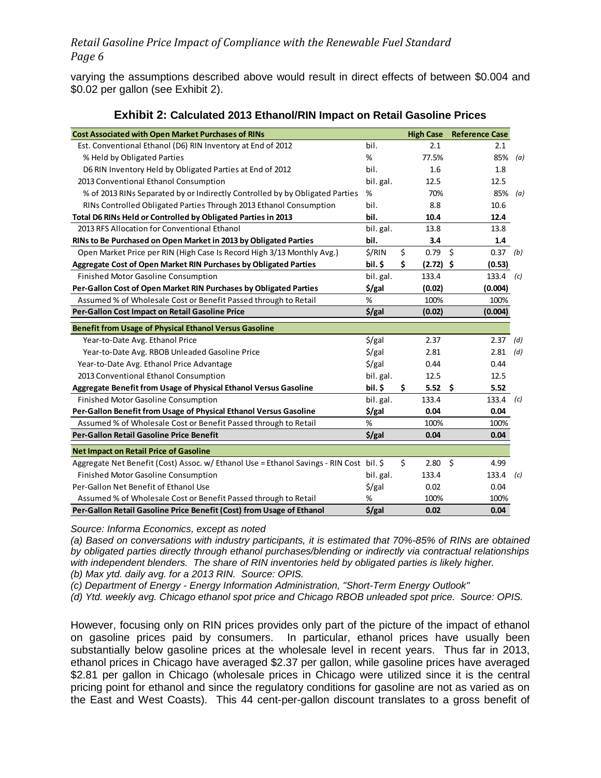varying the assumptions described above would result in direct effects of between \$0.004 and \$0.02 per gallon (see [Exhibit 2\)](#page-5-0).

<span id="page-5-0"></span>

| <b>Cost Associated with Open Market Purchases of RINs</b>                               |                    | <b>High Case</b>  | <b>Reference Case</b> |     |
|-----------------------------------------------------------------------------------------|--------------------|-------------------|-----------------------|-----|
| Est. Conventional Ethanol (D6) RIN Inventory at End of 2012                             | bil.               | 2.1               | 2.1                   |     |
| % Held by Obligated Parties                                                             | %                  | 77.5%             | 85%                   | (a) |
| D6 RIN Inventory Held by Obligated Parties at End of 2012                               | bil.               | 1.6               | 1.8                   |     |
| 2013 Conventional Ethanol Consumption                                                   | bil. gal.          | 12.5              | 12.5                  |     |
| % of 2013 RINs Separated by or Indirectly Controlled by by Obligated Parties            | %                  | 70%               | 85%                   | (a) |
| RINs Controlled Obligated Parties Through 2013 Ethanol Consumption                      | bil.               | 8.8               | 10.6                  |     |
| Total D6 RINs Held or Controlled by Obligated Parties in 2013                           | bil.               | 10.4              | 12.4                  |     |
| 2013 RFS Allocation for Conventional Ethanol                                            | bil. gal.          | 13.8              | 13.8                  |     |
| RINs to Be Purchased on Open Market in 2013 by Obligated Parties                        | bil.               | 3.4               | 1.4                   |     |
| Open Market Price per RIN (High Case Is Record High 3/13 Monthly Avg.)                  | \$/RIN             | \$<br>0.79        | Ŝ.<br>$0.37$ (b)      |     |
| Aggregate Cost of Open Market RIN Purchases by Obligated Parties                        | bil. \$            | \$<br>$(2.72)$ \$ | (0.53)                |     |
| Finished Motor Gasoline Consumption                                                     | bil. gal.          | 133.4             | 133.4                 | (c) |
| Per-Gallon Cost of Open Market RIN Purchases by Obligated Parties                       | \$/gal             | (0.02)            | (0.004)               |     |
| Assumed % of Wholesale Cost or Benefit Passed through to Retail                         | %                  | 100%              | 100%                  |     |
| Per-Gallon Cost Impact on Retail Gasoline Price                                         | $$$ /gal           | (0.02)            | (0.004)               |     |
| <b>Benefit from Usage of Physical Ethanol Versus Gasoline</b>                           |                    |                   |                       |     |
| Year-to-Date Avg. Ethanol Price                                                         | $\frac{1}{2}$ /gal | 2.37              | 2.37                  | (d) |
| Year-to-Date Avg. RBOB Unleaded Gasoline Price                                          | $\frac{1}{2}$ /gal | 2.81              | 2.81                  | (d) |
| Year-to-Date Avg. Ethanol Price Advantage                                               | $\frac{1}{2}$ /gal | 0.44              | 0.44                  |     |
| 2013 Conventional Ethanol Consumption                                                   | bil. gal.          | 12.5              | 12.5                  |     |
| Aggregate Benefit from Usage of Physical Ethanol Versus Gasoline                        | bil. \$            | 5.52<br>\$        | 5.52<br>- \$          |     |
| Finished Motor Gasoline Consumption                                                     | bil. gal.          | 133.4             | 133.4                 | (c) |
| Per-Gallon Benefit from Usage of Physical Ethanol Versus Gasoline                       | \$/gal             | 0.04              | 0.04                  |     |
| Assumed % of Wholesale Cost or Benefit Passed through to Retail                         | %                  | 100%              | 100%                  |     |
| Per-Gallon Retail Gasoline Price Benefit                                                | $$$ /gal           | 0.04              | 0.04                  |     |
| <b>Net Impact on Retail Price of Gasoline</b>                                           |                    |                   |                       |     |
| Aggregate Net Benefit (Cost) Assoc. w/ Ethanol Use = Ethanol Savings - RIN Cost bil. \$ |                    | \$<br>2.80        | Ś.<br>4.99            |     |
| Finished Motor Gasoline Consumption                                                     | bil. gal.          | 133.4             | 133.4                 | (c) |
| Per-Gallon Net Benefit of Ethanol Use                                                   | $\frac{1}{2}$ /gal | 0.02              | 0.04                  |     |
| Assumed % of Wholesale Cost or Benefit Passed through to Retail                         | %                  | 100%              | 100%                  |     |
| Per-Gallon Retail Gasoline Price Benefit (Cost) from Usage of Ethanol                   | $$$ /gal           | 0.02              | 0.04                  |     |

#### **Exhibit 2: Calculated 2013 Ethanol/RIN Impact on Retail Gasoline Prices**

*Source: Informa Economics, except as noted*

*(a) Based on conversations with industry participants, it is estimated that 70%-85% of RINs are obtained by obligated parties directly through ethanol purchases/blending or indirectly via contractual relationships with independent blenders. The share of RIN inventories held by obligated parties is likely higher. (b) Max ytd. daily avg. for a 2013 RIN. Source: OPIS.*

*(c) Department of Energy - Energy Information Administration, "Short-Term Energy Outlook"*

*(d) Ytd. weekly avg. Chicago ethanol spot price and Chicago RBOB unleaded spot price. Source: OPIS.*

However, focusing only on RIN prices provides only part of the picture of the impact of ethanol on gasoline prices paid by consumers. In particular, ethanol prices have usually been substantially below gasoline prices at the wholesale level in recent years. Thus far in 2013, ethanol prices in Chicago have averaged \$2.37 per gallon, while gasoline prices have averaged \$2.81 per gallon in Chicago (wholesale prices in Chicago were utilized since it is the central pricing point for ethanol and since the regulatory conditions for gasoline are not as varied as on the East and West Coasts). This 44 cent-per-gallon discount translates to a gross benefit of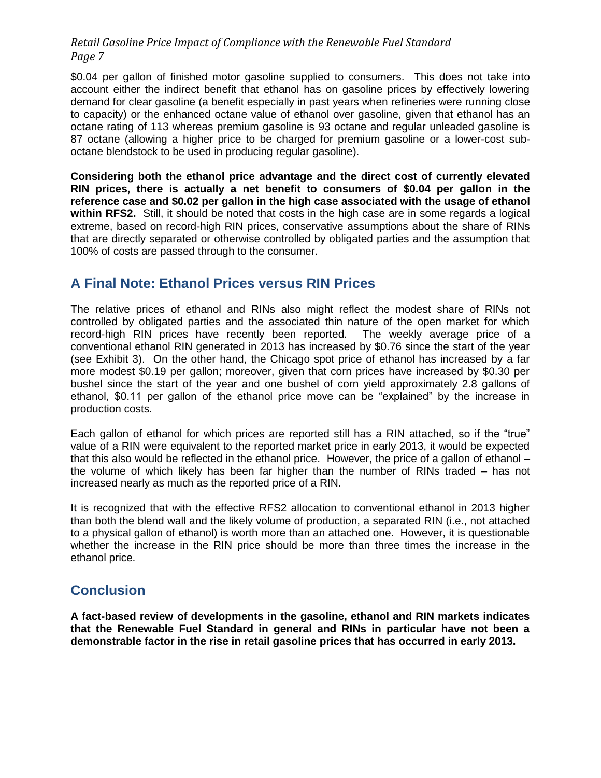\$0.04 per gallon of finished motor gasoline supplied to consumers. This does not take into account either the indirect benefit that ethanol has on gasoline prices by effectively lowering demand for clear gasoline (a benefit especially in past years when refineries were running close to capacity) or the enhanced octane value of ethanol over gasoline, given that ethanol has an octane rating of 113 whereas premium gasoline is 93 octane and regular unleaded gasoline is 87 octane (allowing a higher price to be charged for premium gasoline or a lower-cost suboctane blendstock to be used in producing regular gasoline).

**Considering both the ethanol price advantage and the direct cost of currently elevated RIN prices, there is actually a net benefit to consumers of \$0.04 per gallon in the reference case and \$0.02 per gallon in the high case associated with the usage of ethanol within RFS2.** Still, it should be noted that costs in the high case are in some regards a logical extreme, based on record-high RIN prices, conservative assumptions about the share of RINs that are directly separated or otherwise controlled by obligated parties and the assumption that 100% of costs are passed through to the consumer.

# **A Final Note: Ethanol Prices versus RIN Prices**

The relative prices of ethanol and RINs also might reflect the modest share of RINs not controlled by obligated parties and the associated thin nature of the open market for which record-high RIN prices have recently been reported. The weekly average price of a conventional ethanol RIN generated in 2013 has increased by \$0.76 since the start of the year (see [Exhibit 3\)](#page-7-0). On the other hand, the Chicago spot price of ethanol has increased by a far more modest \$0.19 per gallon; moreover, given that corn prices have increased by \$0.30 per bushel since the start of the year and one bushel of corn yield approximately 2.8 gallons of ethanol, \$0.11 per gallon of the ethanol price move can be "explained" by the increase in production costs.

Each gallon of ethanol for which prices are reported still has a RIN attached, so if the "true" value of a RIN were equivalent to the reported market price in early 2013, it would be expected that this also would be reflected in the ethanol price. However, the price of a gallon of ethanol – the volume of which likely has been far higher than the number of RINs traded – has not increased nearly as much as the reported price of a RIN.

It is recognized that with the effective RFS2 allocation to conventional ethanol in 2013 higher than both the blend wall and the likely volume of production, a separated RIN (i.e., not attached to a physical gallon of ethanol) is worth more than an attached one. However, it is questionable whether the increase in the RIN price should be more than three times the increase in the ethanol price.

# **Conclusion**

**A fact-based review of developments in the gasoline, ethanol and RIN markets indicates that the Renewable Fuel Standard in general and RINs in particular have not been a demonstrable factor in the rise in retail gasoline prices that has occurred in early 2013.**